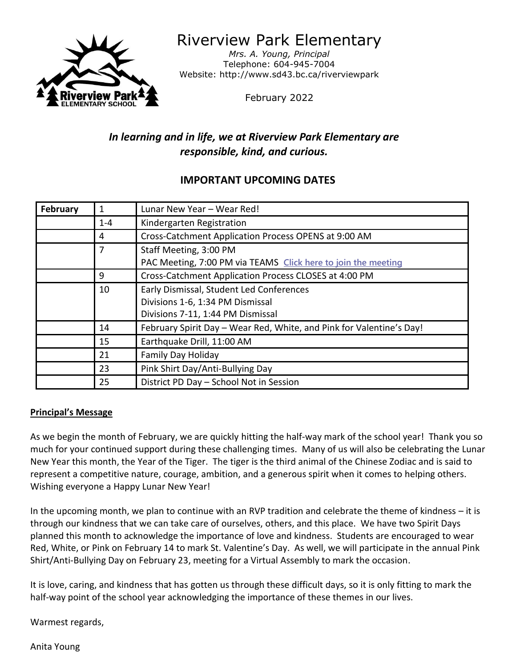

Riverview Park Elementary

*Mrs. A. Young, Principal* Telephone: 604-945-7004 Website: http://www.sd43.bc.ca/riverviewpark

February 2022

# *In learning and in life, we at Riverview Park Elementary are responsible, kind, and curious.*

## **IMPORTANT UPCOMING DATES**

| February | 1       | Lunar New Year - Wear Red!                                           |
|----------|---------|----------------------------------------------------------------------|
|          | $1 - 4$ | Kindergarten Registration                                            |
|          | 4       | Cross-Catchment Application Process OPENS at 9:00 AM                 |
|          | 7       | Staff Meeting, 3:00 PM                                               |
|          |         | PAC Meeting, 7:00 PM via TEAMS Click here to join the meeting        |
|          | 9       | Cross-Catchment Application Process CLOSES at 4:00 PM                |
|          | 10      | Early Dismissal, Student Led Conferences                             |
|          |         | Divisions 1-6, 1:34 PM Dismissal                                     |
|          |         | Divisions 7-11, 1:44 PM Dismissal                                    |
|          | 14      | February Spirit Day - Wear Red, White, and Pink for Valentine's Day! |
|          | 15      | Earthquake Drill, 11:00 AM                                           |
|          | 21      | Family Day Holiday                                                   |
|          | 23      | Pink Shirt Day/Anti-Bullying Day                                     |
|          | 25      | District PD Day - School Not in Session                              |

## **Principal's Message**

As we begin the month of February, we are quickly hitting the half-way mark of the school year! Thank you so much for your continued support during these challenging times. Many of us will also be celebrating the Lunar New Year this month, the Year of the Tiger. The tiger is the third animal of the Chinese Zodiac and is said to represent a competitive nature, courage, ambition, and a generous spirit when it comes to helping others. Wishing everyone a Happy Lunar New Year!

In the upcoming month, we plan to continue with an RVP tradition and celebrate the theme of kindness – it is through our kindness that we can take care of ourselves, others, and this place. We have two Spirit Days planned this month to acknowledge the importance of love and kindness. Students are encouraged to wear Red, White, or Pink on February 14 to mark St. Valentine's Day. As well, we will participate in the annual Pink Shirt/Anti-Bullying Day on February 23, meeting for a Virtual Assembly to mark the occasion.

It is love, caring, and kindness that has gotten us through these difficult days, so it is only fitting to mark the half-way point of the school year acknowledging the importance of these themes in our lives.

Warmest regards,

Anita Young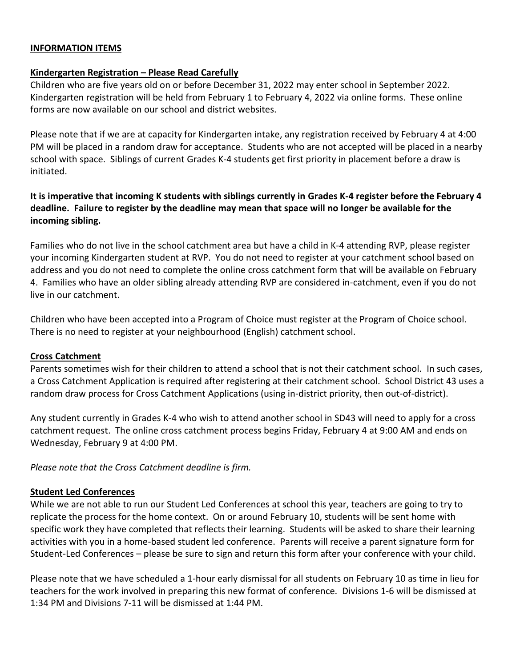#### **INFORMATION ITEMS**

#### **Kindergarten Registration – Please Read Carefully**

Children who are five years old on or before December 31, 2022 may enter school in September 2022. Kindergarten registration will be held from February 1 to February 4, 2022 via online forms. These online forms are now available on our school and district websites.

Please note that if we are at capacity for Kindergarten intake, any registration received by February 4 at 4:00 PM will be placed in a random draw for acceptance. Students who are not accepted will be placed in a nearby school with space. Siblings of current Grades K-4 students get first priority in placement before a draw is initiated.

## **It is imperative that incoming K students with siblings currently in Grades K-4 register before the February 4 deadline. Failure to register by the deadline may mean that space will no longer be available for the incoming sibling.**

Families who do not live in the school catchment area but have a child in K-4 attending RVP, please register your incoming Kindergarten student at RVP. You do not need to register at your catchment school based on address and you do not need to complete the online cross catchment form that will be available on February 4. Families who have an older sibling already attending RVP are considered in-catchment, even if you do not live in our catchment.

Children who have been accepted into a Program of Choice must register at the Program of Choice school. There is no need to register at your neighbourhood (English) catchment school.

#### **Cross Catchment**

Parents sometimes wish for their children to attend a school that is not their catchment school. In such cases, a Cross Catchment Application is required after registering at their catchment school. School District 43 uses a random draw process for Cross Catchment Applications (using in-district priority, then out-of-district).

Any student currently in Grades K-4 who wish to attend another school in SD43 will need to apply for a cross catchment request. The online cross catchment process begins Friday, February 4 at 9:00 AM and ends on Wednesday, February 9 at 4:00 PM.

*Please note that the Cross Catchment deadline is firm.*

#### **Student Led Conferences**

While we are not able to run our Student Led Conferences at school this year, teachers are going to try to replicate the process for the home context. On or around February 10, students will be sent home with specific work they have completed that reflects their learning. Students will be asked to share their learning activities with you in a home-based student led conference. Parents will receive a parent signature form for Student-Led Conferences – please be sure to sign and return this form after your conference with your child.

Please note that we have scheduled a 1-hour early dismissal for all students on February 10 as time in lieu for teachers for the work involved in preparing this new format of conference. Divisions 1-6 will be dismissed at 1:34 PM and Divisions 7-11 will be dismissed at 1:44 PM.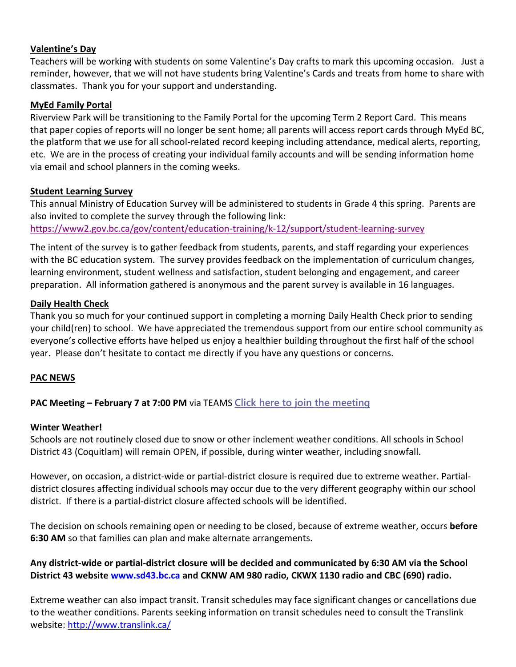### **Valentine's Day**

Teachers will be working with students on some Valentine's Day crafts to mark this upcoming occasion. Just a reminder, however, that we will not have students bring Valentine's Cards and treats from home to share with classmates. Thank you for your support and understanding.

#### **MyEd Family Portal**

Riverview Park will be transitioning to the Family Portal for the upcoming Term 2 Report Card. This means that paper copies of reports will no longer be sent home; all parents will access report cards through MyEd BC, the platform that we use for all school-related record keeping including attendance, medical alerts, reporting, etc. We are in the process of creating your individual family accounts and will be sending information home via email and school planners in the coming weeks.

#### **Student Learning Survey**

This annual Ministry of Education Survey will be administered to students in Grade 4 this spring. Parents are also invited to complete the survey through the following link:

<https://www2.gov.bc.ca/gov/content/education-training/k-12/support/student-learning-survey>

The intent of the survey is to gather feedback from students, parents, and staff regarding your experiences with the BC education system. The survey provides feedback on the implementation of curriculum changes, learning environment, student wellness and satisfaction, student belonging and engagement, and career preparation. All information gathered is anonymous and the parent survey is available in 16 languages.

#### **Daily Health Check**

Thank you so much for your continued support in completing a morning Daily Health Check prior to sending your child(ren) to school. We have appreciated the tremendous support from our entire school community as everyone's collective efforts have helped us enjoy a healthier building throughout the first half of the school year. Please don't hesitate to contact me directly if you have any questions or concerns.

#### **PAC NEWS**

## **PAC Meeting – February 7 at 7:00 PM** via TEAMS **[Click here to join the meeting](https://teams.microsoft.com/l/meetup-join/19%3ameeting_YzFmNWI1ZTgtMzhiMC00ZThiLWE3NDItNzYwNzYyMDY3MGM5%40thread.v2/0?context=%7b%22Tid%22%3a%22d9658cef-0292-4252-9925-6442de24a44b%22%2c%22Oid%22%3a%221b590d38-a337-41db-b865-c71f6b641bf3%22%7d)**

#### **Winter Weather!**

Schools are not routinely closed due to snow or other inclement weather conditions. All schools in School District 43 (Coquitlam) will remain OPEN, if possible, during winter weather, including snowfall.

However, on occasion, a district-wide or partial-district closure is required due to extreme weather. Partialdistrict closures affecting individual schools may occur due to the very different geography within our school district. If there is a partial-district closure affected schools will be identified.

The decision on schools remaining open or needing to be closed, because of extreme weather, occurs **before 6:30 AM** so that families can plan and make alternate arrangements.

## **Any district-wide or partial-district closure will be decided and communicated by 6:30 AM via the School District 43 website www.sd43.bc.ca and CKNW AM 980 radio, CKWX 1130 radio and CBC (690) radio.**

Extreme weather can also impact transit. Transit schedules may face significant changes or cancellations due to the weather conditions. Parents seeking information on transit schedules need to consult the Translink website:<http://www.translink.ca/>